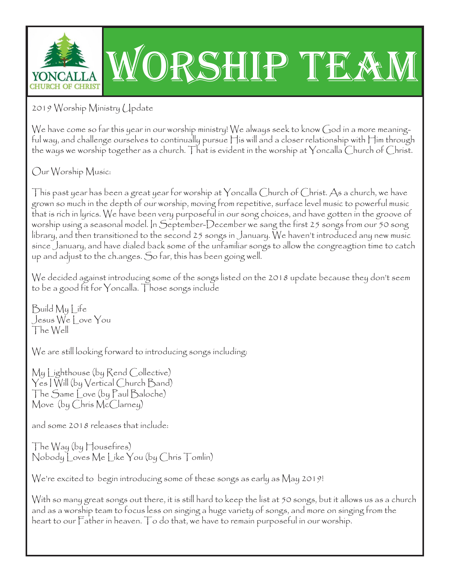

2019 Worship Ministry Update

We have come so far this year in our worship ministry! We always seek to know God in a more meaningful way, and challenge ourselves to continually pursue His will and a closer relationship with Him through the ways we worship together as a church. That is evident in the worship at Yoncalla Church of Christ.

Our Worship Music:

This past year has been a great year for worship at  $\gamma$ oncalla Church of Christ. As a church, we have grown so much in the depth of our worship, moving from repetitive, surface level music to powerful music that is rich in lyrics. We have been very purposeful in our song choices, and have gotten in the groove of worship using a seasonal model. In September-December we sang the first 25 songs from our 50 song library, and then transitioned to the second 25 songs in January. We haven't introduced any new music since January, and have dialed back some of the unfamiliar songs to allow the congreagtion time to catch up and adjust to the ch.anges. So far, this has been going well.

We decided against introducing some of the songs listed on the 2018 update because they don't seem to be a good fit for Yoncalla. Those songs include

Build My Life Jesus We Love You The Well

We are still looking forward to introducing songs including:

My Lighthouse (by Rend Collective) Yes I Will (by Vertical Church Band) The Same Love (by Paul Baloche) Move (by Chris McClarney)

and some 2018 releases that include:

The Way (by Housefires) Nobody Loves Me Like You (by Chris Tomlin)

We're excited to begin introducing some of these songs as early as May 2019!

With so many great songs out there, it is still hard to keep the list at 50 songs, but it allows us as a church and as a worship team to focus less on singing a huge variety of songs, and more on singing from the heart to our Father in heaven. To do that, we have to remain purposeful in our worship.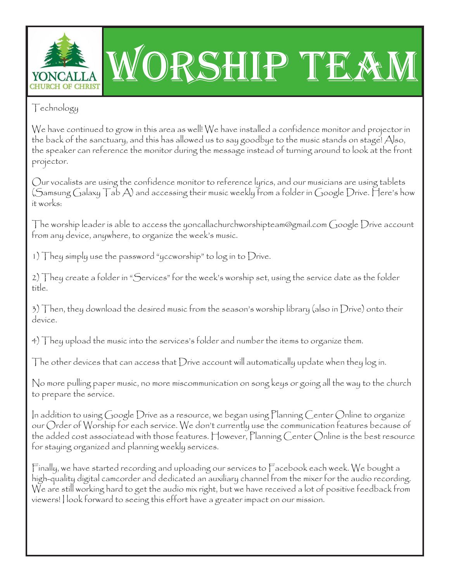

# ORSHIP TEA

## Technology

We have continued to grow in this area as well! We have installed a confidence monitor and projector in the back of the sanctuary, and this has allowed us to say goodbye to the music stands on stage! Also, the speaker can reference the monitor during the message instead of turning around to look at the front projector.

Our vocalists are using the confidence monitor to reference lyrics, and our musicians are using tablets (Samsung Galaxy  $\top$ ab A) and accessing their music weekly from a folder in Google Drive. Here's how it works:

The worship leader is able to access the yoncallachurchworshipteam@gmail.com Google  $D$ rive account from any device, anywhere, to organize the week's music.

1) They simply use the password "yccworship" to log in to Drive.

2) They create a folder in "Services" for the week's worship set, using the service date as the folder title.

3) Then, they download the desired music from the season's worship library (also in Drive) onto their device.

4) They upload the music into the services's folder and number the items to organize them.

The other devices that can access that Drive account will automatically update when they  $\log$  in.

No more pulling paper music, no more miscommunication on song keys or going all the way to the church to prepare the service.

In addition to using Google Drive as a resource, we began using Planning Center Online to organize our Order of Worship for each service. We don't currently use the communication features because of the added cost associatead with those features. However, Planning Center Online is the best resource for staying organized and planning weekly services.

Finally, we have started recording and uploading our services to Facebook each week. We bought a high-quality digital camcorder and dedicated an auxiliary channel from the mixer for the audio recording. We are still working hard to get the audio mix right, but we have received a lot of positive feedback from viewers! I look forward to seeing this effort have a greater impact on our mission.